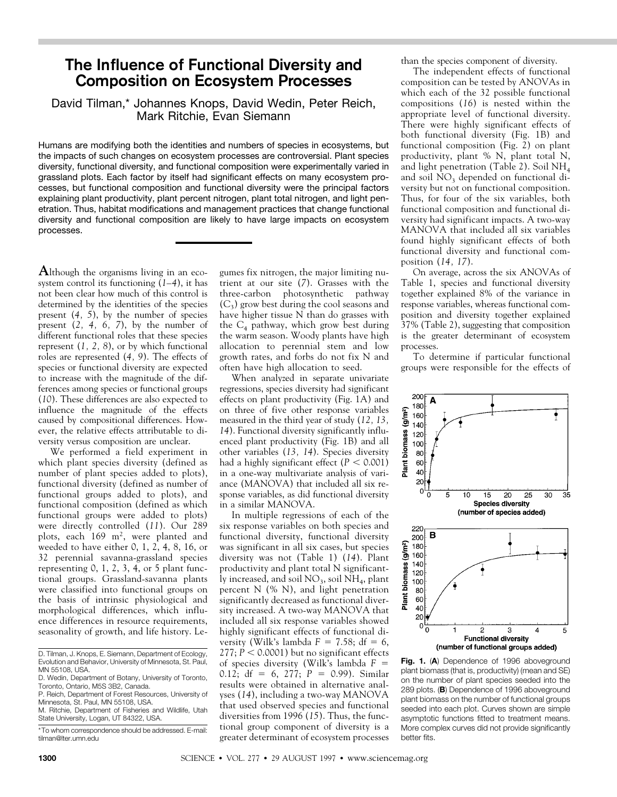# **The Influence of Functional Diversity and Composition on Ecosystem Processes**

### David Tilman,\* Johannes Knops, David Wedin, Peter Reich, Mark Ritchie, Evan Siemann

Humans are modifying both the identities and numbers of species in ecosystems, but the impacts of such changes on ecosystem processes are controversial. Plant species diversity, functional diversity, and functional composition were experimentally varied in grassland plots. Each factor by itself had significant effects on many ecosystem processes, but functional composition and functional diversity were the principal factors explaining plant productivity, plant percent nitrogen, plant total nitrogen, and light penetration. Thus, habitat modifications and management practices that change functional diversity and functional composition are likely to have large impacts on ecosystem processes.

**A**lthough the organisms living in an ecosystem control its functioning (*1*–*4*), it has not been clear how much of this control is determined by the identities of the species present (*4, 5*), by the number of species present (*2, 4, 6, 7*), by the number of different functional roles that these species represent (*1, 2, 8*), or by which functional roles are represented (*4, 9*). The effects of species or functional diversity are expected to increase with the magnitude of the differences among species or functional groups (*10*). These differences are also expected to influence the magnitude of the effects caused by compositional differences. However, the relative effects attributable to diversity versus composition are unclear.

We performed a field experiment in which plant species diversity (defined as number of plant species added to plots), functional diversity (defined as number of functional groups added to plots), and functional composition (defined as which functional groups were added to plots) were directly controlled (*11*). Our 289 plots, each 169 m<sup>2</sup>, were planted and weeded to have either  $0, 1, 2, 4, 8, 16$ , or 32 perennial savanna-grassland species representing  $0, 1, 2, 3, 4$ , or  $5$  plant functional groups. Grassland-savanna plants were classified into functional groups on the basis of intrinsic physiological and morphological differences, which influence differences in resource requirements, seasonality of growth, and life history. Legumes fix nitrogen, the major limiting nutrient at our site (*7*). Grasses with the three-carbon photosynthetic pathway  $(C_3)$  grow best during the cool seasons and have higher tissue N than do grasses with the  $C_4$  pathway, which grow best during the warm season. Woody plants have high allocation to perennial stem and low growth rates, and forbs do not fix N and often have high allocation to seed.

When analyzed in separate univariate regressions, species diversity had significant effects on plant productivity (Fig. 1A) and on three of five other response variables measured in the third year of study (*12, 13, 14*). Functional diversity significantly influenced plant productivity (Fig. 1B) and all other variables (*13, 14*). Species diversity had a highly significant effect  $(P < 0.001)$ in a one-way multivariate analysis of variance (MANOVA) that included all six response variables, as did functional diversity in a similar MANOVA.

In multiple regressions of each of the six response variables on both species and functional diversity, functional diversity was significant in all six cases, but species diversity was not (Table 1) (*14*). Plant productivity and plant total N significantly increased, and soil  $NO<sub>3</sub>$ , soil  $NH<sub>4</sub>$ , plant percent N (% N), and light penetration significantly decreased as functional diversity increased. A two-way MANOVA that included all six response variables showed highly significant effects of functional diversity (Wilk's lambda  $F = 7.58$ ; df = 6,  $277; P < 0.0001$ ) but no significant effects of species diversity (Wilk's lambda  $F =$ 0.12;  $df = 6$ , 277;  $P = 0.99$ ). Similar results were obtained in alternative analyses (*14*), including a two-way MANOVA that used observed species and functional diversities from 1996 (*15*). Thus, the functional group component of diversity is a greater determinant of ecosystem processes than the species component of diversity.

The independent effects of functional composition can be tested by ANOVAs in which each of the 32 possible functional compositions (*16*) is nested within the appropriate level of functional diversity. There were highly significant effects of both functional diversity (Fig. 1B) and functional composition (Fig. 2) on plant productivity, plant % N, plant total N, and light penetration (Table 2). Soil  $NH<sub>4</sub>$ and soil  $NO<sub>3</sub>$  depended on functional diversity but not on functional composition. Thus, for four of the six variables, both functional composition and functional diversity had significant impacts. A two-way MANOVA that included all six variables found highly significant effects of both functional diversity and functional composition (*14, 17*).

On average, across the six ANOVAs of Table 1, species and functional diversity together explained 8% of the variance in response variables, whereas functional composition and diversity together explained 37% (Table 2), suggesting that composition is the greater determinant of ecosystem processes.

To determine if particular functional groups were responsible for the effects of





D. Tilman, J. Knops, E. Siemann, Department of Ecology, Evolution and Behavior, University of Minnesota, St. Paul, MN 55108, USA.

D. Wedin, Department of Botany, University of Toronto, Toronto, Ontario, M5S 3B2, Canada.

P. Reich, Department of Forest Resources, University of Minnesota, St. Paul, MN 55108, USA.

M. Ritchie, Department of Fisheries and Wildlife, Utah State University, Logan, UT 84322, USA.

<sup>\*</sup>To whom correspondence should be addressed. E-mail: tilman@lter.umn.edu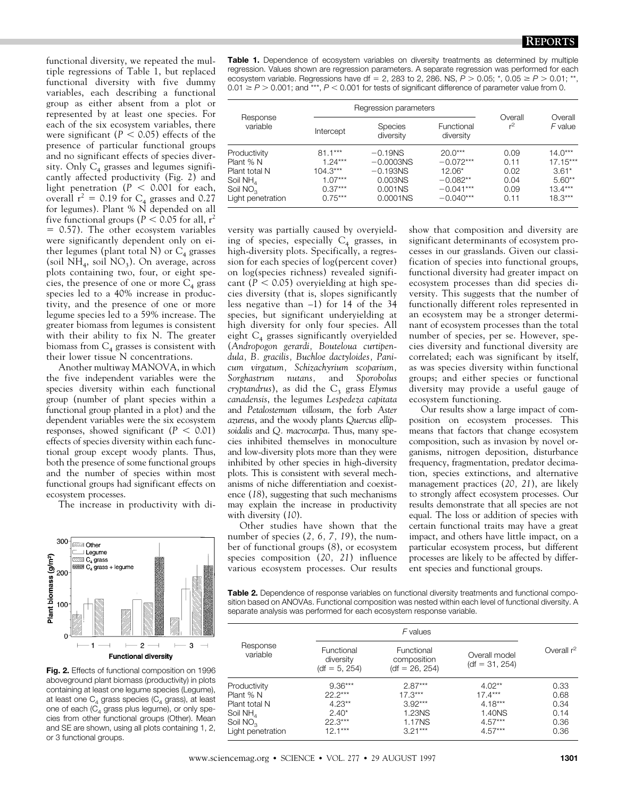functional diversity, we repeated the multiple regressions of Table 1, but replaced functional diversity with five dummy variables, each describing a functional group as either absent from a plot or represented by at least one species. For each of the six ecosystem variables, there were significant ( $P < 0.05$ ) effects of the presence of particular functional groups and no significant effects of species diversity. Only  $C_4$  grasses and legumes significantly affected productivity (Fig. 2) and light penetration ( $P < 0.001$  for each, overall  $r^2 = 0.19$  for C<sub>4</sub> grasses and 0.27 for legumes). Plant % N depended on all five functional groups ( $P < 0.05$  for all,  $r^2$  $= 0.57$ ). The other ecosystem variables were significantly dependent only on either legumes (plant total N) or  $C_4$  grasses (soil  $NH_4$ , soil  $NO_3$ ). On average, across plots containing two, four, or eight species, the presence of one or more  $C_4$  grass species led to a 40% increase in productivity, and the presence of one or more legume species led to a 59% increase. The greater biomass from legumes is consistent with their ability to fix N. The greater biomass from  $C_4$  grasses is consistent with their lower tissue N concentrations.

Another multiway MANOVA, in which the five independent variables were the species diversity within each functional group (number of plant species within a functional group planted in a plot) and the dependent variables were the six ecosystem responses, showed significant  $(P < 0.01)$ effects of species diversity within each functional group except woody plants. Thus, both the presence of some functional groups and the number of species within most functional groups had significant effects on ecosystem processes.

The increase in productivity with di-



**Fig. 2.** Effects of functional composition on 1996 aboveground plant biomass (productivity) in plots containing at least one legume species (Legume), at least one  $C_4$  grass species ( $C_4$  grass), at least one of each ( $C_4$  grass plus legume), or only species from other functional groups (Other). Mean and SE are shown, using all plots containing 1, 2, or 3 functional groups.

**Table 1.** Dependence of ecosystem variables on diversity treatments as determined by multiple regression. Values shown are regression parameters. A separate regression was performed for each ecosystem variable. Regressions have df = 2, 283 to 2, 286. NS,  $P > 0.05$ ;  $*$ , 0.05  $\ge P > 0.01$ ;  $*$  $0.01 \ge P > 0.001$ ; and \*\*\*,  $P < 0.001$  for tests of significant difference of parameter value from 0.

| Response<br>variable                                                                        |                                                                             | Regression parameters                                                               |                                                                                  |                                              |                                                                          |
|---------------------------------------------------------------------------------------------|-----------------------------------------------------------------------------|-------------------------------------------------------------------------------------|----------------------------------------------------------------------------------|----------------------------------------------|--------------------------------------------------------------------------|
|                                                                                             | Intercept                                                                   | <b>Species</b><br>diversity                                                         | Functional<br>diversity                                                          | Overall<br>r <sup>2</sup>                    | Overall<br>F value                                                       |
| Productivity<br>Plant % N<br>Plant total N<br>Soil $NH4$<br>Soil $NO3$<br>Light penetration | $81.1***$<br>$1.24***$<br>$104.3***$<br>$1.07***$<br>$0.37***$<br>$0.75***$ | $-0.19NS$<br>$-0.0003NS$<br>$-0.193NS$<br>0.003NS<br>0.001 <sub>N</sub><br>0.0001NS | $20.0***$<br>$-0.072***$<br>$12.06*$<br>$-0.082**$<br>$-0.041***$<br>$-0.040***$ | 0.09<br>0.11<br>0.02<br>0.04<br>0.09<br>0.11 | $14.0***$<br>$17.15***$<br>$3.61*$<br>$5.60**$<br>$13.4***$<br>$18.3***$ |

versity was partially caused by overyielding of species, especially  $C_4$  grasses, in high-diversity plots. Specifically, a regression for each species of log(percent cover) on log(species richness) revealed significant ( $P < 0.05$ ) overyielding at high species diversity (that is, slopes significantly less negative than –1) for 14 of the 34 species, but significant underyielding at high diversity for only four species. All eight  $C_4$  grasses significantly overyielded (*Andropogon gerardi, Bouteloua curtipendula, B. gracilis, Buchloe dactyloides, Panicum virgatum, Schizachyrium scoparium, Sorghastrum nutans,* and *Sporobolus cryptandrus*), as did the C<sub>3</sub> grass *Elymus canadensis*, the legumes *Lespedeza capitata* and *Petalostemum villosum*, the forb *Aster azureus*, and the woody plants *Quercus ellipsoidalis* and *Q. macrocarpa*. Thus, many species inhibited themselves in monoculture and low-diversity plots more than they were inhibited by other species in high-diversity plots. This is consistent with several mechanisms of niche differentiation and coexistence (*18*), suggesting that such mechanisms may explain the increase in productivity with diversity (*10*).

Other studies have shown that the number of species (*2, 6, 7, 19*), the number of functional groups (*8*), or ecosystem species composition (*20, 21*) influence various ecosystem processes. Our results show that composition and diversity are significant determinants of ecosystem processes in our grasslands. Given our classification of species into functional groups, functional diversity had greater impact on ecosystem processes than did species diversity. This suggests that the number of functionally different roles represented in an ecosystem may be a stronger determinant of ecosystem processes than the total number of species, per se. However, species diversity and functional diversity are correlated; each was significant by itself, as was species diversity within functional groups; and either species or functional diversity may provide a useful gauge of ecosystem functioning.

Our results show a large impact of composition on ecosystem processes. This means that factors that change ecosystem composition, such as invasion by novel organisms, nitrogen deposition, disturbance frequency, fragmentation, predator decimation, species extinctions, and alternative management practices (*20, 21*), are likely to strongly affect ecosystem processes. Our results demonstrate that all species are not equal. The loss or addition of species with certain functional traits may have a great impact, and others have little impact, on a particular ecosystem process, but different processes are likely to be affected by different species and functional groups.

**Table 2.** Dependence of response variables on functional diversity treatments and functional composition based on ANOVAs. Functional composition was nested within each level of functional diversity. A separate analysis was performed for each ecosystem response variable.

| Response<br>variable | Functional<br>Functional<br>diversity<br>composition<br>$(df = 26, 254)$<br>$(df = 5, 254)$ |           | Overall model<br>$(df = 31, 254)$ | Overall $r^2$ |  |
|----------------------|---------------------------------------------------------------------------------------------|-----------|-----------------------------------|---------------|--|
| Productivity         | $9.36***$                                                                                   | $2.87***$ | $4.02**$                          | 0.33          |  |
| Plant % N            | $22.2***$                                                                                   | $17.3***$ | $17.4***$                         | 0.68          |  |
| Plant total N        | $4.23**$                                                                                    | $3.92***$ | $4.18***$                         | 0.34          |  |
| Soil NH <sub>4</sub> | $2.40*$                                                                                     | 1.23NS    | 1.40NS                            | 0.14          |  |
| Soil NO <sub>2</sub> | $22.3***$                                                                                   | 1.17NS    | $4.57***$                         | 0.36          |  |
| Light penetration    | $12.1***$                                                                                   | $3.21***$ | $4.57***$                         | 0.36          |  |